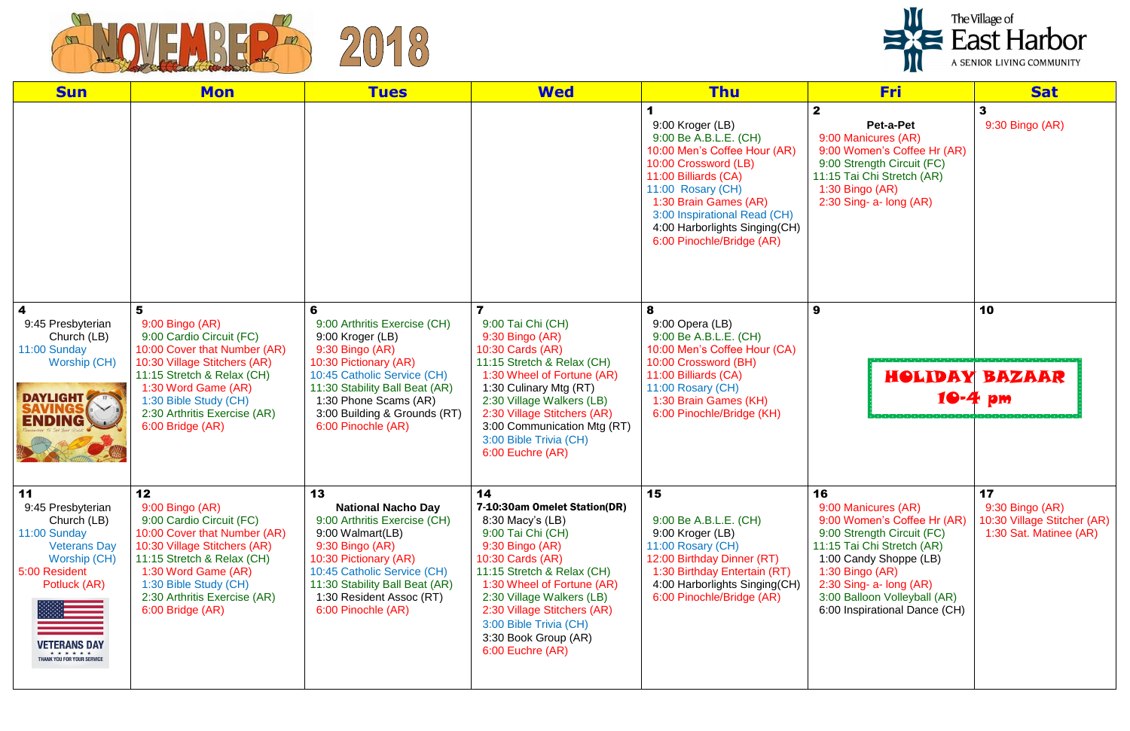



| <b>Sun</b>                                                                                                                                                                                              | <b>Mon</b>                                                                                                                                                                                                                                          | <b>Tues</b>                                                                                                                                                                                                                                        | <b>Wed</b>                                                                                                                                                                                                                                                                                                       | <b>Thu</b>                                                                                                                                                                                                                                                            | <b>Fri</b>                                                                                                                                                                                                                                                          | <b>Sat</b>                                                                     |
|---------------------------------------------------------------------------------------------------------------------------------------------------------------------------------------------------------|-----------------------------------------------------------------------------------------------------------------------------------------------------------------------------------------------------------------------------------------------------|----------------------------------------------------------------------------------------------------------------------------------------------------------------------------------------------------------------------------------------------------|------------------------------------------------------------------------------------------------------------------------------------------------------------------------------------------------------------------------------------------------------------------------------------------------------------------|-----------------------------------------------------------------------------------------------------------------------------------------------------------------------------------------------------------------------------------------------------------------------|---------------------------------------------------------------------------------------------------------------------------------------------------------------------------------------------------------------------------------------------------------------------|--------------------------------------------------------------------------------|
|                                                                                                                                                                                                         |                                                                                                                                                                                                                                                     |                                                                                                                                                                                                                                                    |                                                                                                                                                                                                                                                                                                                  | 9:00 Kroger (LB)<br>9:00 Be A.B.L.E. (CH)<br>10:00 Men's Coffee Hour (AR)<br>10:00 Crossword (LB)<br>11:00 Billiards (CA)<br>11:00 Rosary (CH)<br>1:30 Brain Games (AR)<br>3:00 Inspirational Read (CH)<br>4:00 Harborlights Singing(CH)<br>6:00 Pinochle/Bridge (AR) | $\mathbf{2}$<br>Pet-a-Pet<br>9:00 Manicures (AR)<br>9:00 Women's Coffee Hr (AR)<br>9:00 Strength Circuit (FC)<br>11:15 Tai Chi Stretch (AR)<br>$1:30$ Bingo (AR)<br>2:30 Sing- a- long (AR)                                                                         | 3<br>9:30 Bingo (AR)                                                           |
| 4<br>9:45 Presbyterian<br>Church (LB)<br>11:00 Sunday<br>Worship (CH)<br><b>DAYLIGHT</b>                                                                                                                | 5<br>9:00 Bingo (AR)<br>9:00 Cardio Circuit (FC)<br>10:00 Cover that Number (AR)<br>10:30 Village Stitchers (AR)<br>11:15 Stretch & Relax (CH)<br>1:30 Word Game (AR)<br>1:30 Bible Study (CH)<br>2:30 Arthritis Exercise (AR)<br>6:00 Bridge (AR)  | 6<br>9:00 Arthritis Exercise (CH)<br>9:00 Kroger (LB)<br>9:30 Bingo (AR)<br>10:30 Pictionary (AR)<br>10:45 Catholic Service (CH)<br>11:30 Stability Ball Beat (AR)<br>1:30 Phone Scams (AR)<br>3:00 Building & Grounds (RT)<br>6:00 Pinochle (AR)  | 9:00 Tai Chi (CH)<br>9:30 Bingo (AR)<br>10:30 Cards (AR)<br>11:15 Stretch & Relax (CH)<br>1:30 Wheel of Fortune (AR)<br>1:30 Culinary Mtg (RT)<br>2:30 Village Walkers (LB)<br>2:30 Village Stitchers (AR)<br>3:00 Communication Mtg (RT)<br>3:00 Bible Trivia (CH)<br>6:00 Euchre (AR)                          | 8<br>9:00 Opera (LB)<br>9:00 Be A.B.L.E. (CH)<br>10:00 Men's Coffee Hour (CA)<br>10:00 Crossword (BH)<br>11:00 Billiards (CA)<br>11:00 Rosary (CH)<br>1:30 Brain Games (KH)<br>6:00 Pinochle/Bridge (KH)                                                              | 9<br>10-4 pm                                                                                                                                                                                                                                                        | 10<br><b>HOLIDAY BAZAAR</b>                                                    |
| 11<br>9:45 Presbyterian<br>Church (LB)<br>11:00 Sunday<br><b>Veterans Day</b><br>Worship (CH)<br>5:00 Resident<br>Potluck (AR)<br><b>VETERANS DAY</b><br>* * * * * *<br><b>ANK YOU FOR YOUR SERVICE</b> | 12<br>9:00 Bingo (AR)<br>9:00 Cardio Circuit (FC)<br>10:00 Cover that Number (AR)<br>10:30 Village Stitchers (AR)<br>11:15 Stretch & Relax (CH)<br>1:30 Word Game (AR)<br>1:30 Bible Study (CH)<br>2:30 Arthritis Exercise (AR)<br>6:00 Bridge (AR) | 13<br><b>National Nacho Day</b><br>9:00 Arthritis Exercise (CH)<br>9:00 Walmart(LB)<br>9:30 Bingo (AR)<br>10:30 Pictionary (AR)<br>10:45 Catholic Service (CH)<br>11:30 Stability Ball Beat (AR)<br>1:30 Resident Assoc (RT)<br>6:00 Pinochle (AR) | 14<br>7-10:30am Omelet Station(DR)<br>8:30 Macy's (LB)<br>9:00 Tai Chi (CH)<br>9:30 Bingo (AR)<br>10:30 Cards (AR)<br>11:15 Stretch & Relax (CH)<br>1:30 Wheel of Fortune (AR)<br>2:30 Village Walkers (LB)<br>2:30 Village Stitchers (AR)<br>3:00 Bible Trivia (CH)<br>3:30 Book Group (AR)<br>6:00 Euchre (AR) | 15<br>9:00 Be A.B.L.E. (CH)<br>9:00 Kroger (LB)<br>11:00 Rosary (CH)<br>12:00 Birthday Dinner (RT)<br>1:30 Birthday Entertain (RT)<br>4:00 Harborlights Singing(CH)<br>6:00 Pinochle/Bridge (AR)                                                                      | 16<br>9:00 Manicures (AR)<br>9:00 Women's Coffee Hr (AR)<br>9:00 Strength Circuit (FC)<br>11:15 Tai Chi Stretch (AR)<br>1:00 Candy Shoppe (LB)<br>$1:30$ Bingo (AR)<br>$2:30$ Sing- a- long $(AR)$<br>3:00 Balloon Volleyball (AR)<br>6:00 Inspirational Dance (CH) | 17<br>9:30 Bingo (AR)<br>10:30 Village Stitcher (AR)<br>1:30 Sat. Matinee (AR) |